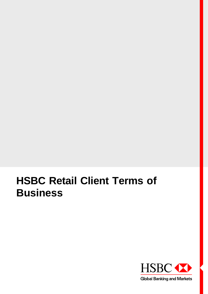# **HSBC Retail Client Terms of Business**

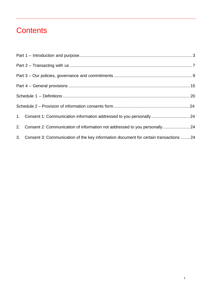# **Contents**

|  | 1. Consent 1: Communication information addressed to you personally 24                   |  |  |
|--|------------------------------------------------------------------------------------------|--|--|
|  | 2. Consent 2: Communication of information not addressed to you personally 24            |  |  |
|  | 3. Consent 3: Communication of the key information document for certain transactions  24 |  |  |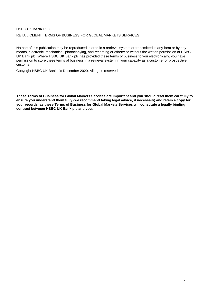# HSBC UK BANK PLC RETAIL CLIENT TERMS OF BUSINESS FOR GLOBAL MARKETS SERVICES

No part of this publication may be reproduced, stored in a retrieval system or transmitted in any form or by any means, electronic, mechanical, photocopying, and recording or otherwise without the written permission of HSBC UK Bank plc. Where HSBC UK Bank plc has provided these terms of business to you electronically, you have permission to store these terms of business in a retrieval system in your capacity as a customer or prospective customer.

Copyright HSBC UK Bank plc December 2020. All rights reserved

**These Terms of Business for Global Markets Services are important and you should read them carefully to ensure you understand them fully (we recommend taking legal advice, if necessary) and retain a copy for your records, as these Terms of Business for Global Markets Services will constitute a legally binding contract between HSBC UK Bank plc and you.**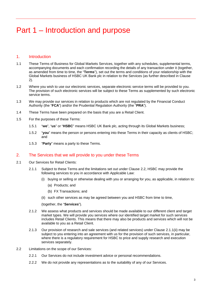# <span id="page-3-0"></span>Part 1 – Introduction and purpose

# 1. Introduction

- 1.1 These Terms of Business for Global Markets Services, together with any schedules, supplemental terms, accompanying documents and each confirmation recording the details of any transaction under it (together, as amended from time to time, the "**Terms**"), set out the terms and conditions of your relationship with the Global Markets business of HSBC UK Bank plc in relation to the Services (as further described in Clause [2\)](#page-3-1).
- 1.2 Where you wish to use our electronic services, separate electronic service terms will be provided to you. The provision of such electronic services will be subject to these Terms as supplemented by such electronic service terms.
- 1.3 We may provide our services in relation to products which are not regulated by the Financial Conduct Authority (the "**FCA**") and/or the Prudential Regulation Authority (the "**PRA**").
- 1.4 These Terms have been prepared on the basis that you are a Retail Client.
- 1.5 For the purposes of these Terms:
	- 1.5.1 "**we**", "**us**" or "**HSBC**" means HSBC UK Bank plc, acting through its Global Markets business;
	- 1.5.2 "**you**" means the person or persons entering into these Terms in their capacity as clients of HSBC; and
	- 1.5.3 "**Party**" means a party to these Terms.

#### <span id="page-3-1"></span>2. The Services that we will provide to you under these Terms

- 2.1 Our Services for Retail Clients:
	- 2.1.1 Subject to these Terms and the limitations set out under Clause [2.2,](#page-3-2) HSBC may provide the following services to you in accordance with Applicable Law:
		- (i) buying or selling or otherwise dealing with you or arranging for you, as applicable, in relation to:
			- (a) Products; and
			- (b) FX Transactions; and
		- (ii) such other services as may be agreed between you and HSBC from time to time,

(together, the "**Services**").

- <span id="page-3-3"></span>2.1.2 We assess what products and services should be made available to our different client and target market types. We will provide you services where our identified target market for such services includes Retail Clients. This means that there may also be products and services which will not be available to you as a Retail Client.
- 2.1.3 Our provision of research and sale services (and related services) under Clause [2.1.1\(ii\)](#page-3-3) may be subject to you entering into an agreement with us for the provision of such services, in particular, where there is a regulatory requirement for HSBC to price and supply research and execution services separately.
- <span id="page-3-2"></span>2.2 Limitations on the scope of our Services:
	- 2.2.1 Our Services do not include investment advice or personal recommendations.
	- 2.2.2 We do not provide any representations as to the suitability of any of our Services.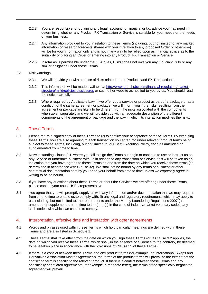- 2.2.3 You are responsible for obtaining any legal, accounting, financial or tax advice you may need in determining whether any Product, FX Transaction or Service is suitable for your needs or the needs of your business.
- 2.2.4 Any information provided to you in relation to these Terms (including, but not limited to, any market information or research forecasts shared with you in relation to any proposed Order or otherwise) will be for your information only and is not in any way to be relied upon as financial advice as to the suitability of placing an Order or entering into any Product, FX Transaction or Service.
- 2.2.5 Insofar as is permissible under the FCA rules, HSBC does not owe you any Fiduciary Duty or any similar obligation under these Terms.
- 2.3 Risk warnings:
	- 2.3.1 We will provide you with a notice of risks related to our Products and FX Transactions.
	- 2.3.2 This information will be made available at [http://www.gbm.hsbc.com/financial-regulation/market](http://www.gbm.hsbc.com/financial-regulation/market-structure/mifid/policies-disclosures)[structure/mifid/policies-disclosures](http://www.gbm.hsbc.com/financial-regulation/market-structure/mifid/policies-disclosures) or such other website as notified to you by us. You should read the notice carefully.
	- 2.3.3 Where required by Applicable Law, if we offer you a service or product as part of a package or as a condition of the same agreement or package, we will inform you if the risks resulting from the agreement or package are likely to be different from the risks associated with the components when taken separately and we will provide you with an adequate description of the different components of the agreement or package and the way in which its interaction modifies the risks.

# 3. These Terms

- <span id="page-4-0"></span>3.1 Please return a signed copy of these Terms to us to confirm your acceptance of these Terms. By executing these Terms, you are also agreeing to each transaction you enter into under relevant product terms being subject to these Terms, including, but not limited to, our Best Execution Policy, each as amended or supplemented from time to time.
- <span id="page-4-1"></span>3.2 Notwithstanding Clause [3.1,](#page-4-0) where you fail to sign the Terms but begin or continue to use or instruct us on any Service or undertake business with us in relation to any transaction or Service, this will be taken as an indication that you have agreed to these Terms on and from the date on which you receive these terms (as determined in accordance with Clause [32\)](#page-17-0). We shall not be bound by any terms of business or other contractual documentation sent by you or on your behalf from time to time unless we expressly agree in writing to be so bound.
- 3.3 If you have any questions about these Terms or about the Services we are offering under these Terms, please contact your usual HSBC representative.
- 3.4 You agree that you will promptly supply us with any information and/or documentation that we may request from time to time to enable us to comply with: (i) any legal and regulatory requirements which may apply to us, including, but not limited to, the requirements under the Money Laundering Regulations 2007 (as amended or supplemented from time to time); or (ii) in the case of industry/market voluntary codes, any such codes with which we choose to comply.

# 4. Interpretation, effective date and interaction with other agreements

- 4.1 Words and phrases used within these Terms which hold particular meanings are defined within these Terms and are also listed in Schedule 1.
- 4.2 These Terms shall take effect from the date on which you sign these Terms (or, if Clause [3.2](#page-4-1) applies, the date on which you receive these Terms, which shall, in the absence of evidence to the contrary, be deemed to have taken place in accordance with the provisions of Clause 32 of these Terms).
- <span id="page-4-2"></span>4.3 If there is a conflict between these Terms and any product terms (for example, an International Swaps and Derivatives Association Master Agreement), the terms of the product terms will prevail to the extent that the conflicting term is specific to the relevant product. If there is a conflict between these Terms and any specifically negotiated agreements (for example, a mandate letter), the terms of the specifically negotiated agreement will prevail.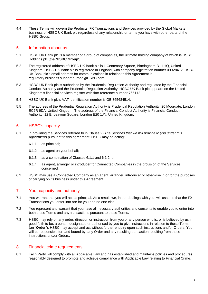4.4 These Terms will govern the Products, FX Transactions and Services provided by the Global Markets business of HSBC UK Bank plc regardless of any relationship or terms you have with other parts of the HSBC Group.

# 5. Information about us

- 5.1 HSBC UK Bank plc is a member of a group of companies, the ultimate holding company of which is HSBC Holdings plc (the "**HSBC Group**").
- 5.2 The registered address of HSBC UK Bank plc is 1 Centenary Square, Birmingham B1 1HQ, United Kingdom. HSBC UK Bank plc is registered in England, with company registration number 09928412. HSBC UK Bank plc's email address for communications in relation to this Agreement is regulatory.business.support.europe@HSBC.com.
- 5.3 HSBC UK Bank plc is authorised by the Prudential Regulation Authority and regulated by the Financial Conduct Authority and the Prudential Regulation Authority. HSBC UK Bank plc appears on the United Kingdom's financial services register with firm reference number 765112.
- 5.4 HSBC UK Bank plc's VAT identification number is GB 365684514.
- 5.5 The address of the Prudential Regulation Authority is Prudential Regulation Authority, 20 Moorgate, London EC2R 6DA, United Kingdom. The address of the Financial Conduct Authority is Financial Conduct Authority, 12 Endeavour Square, London E20 1JN, United Kingdom.

# 6. HSBC's capacity

- 6.1 In providing the Services referred to in Clause 2 (*The Services that we will provide to you under this Agreement*) pursuant to this agreement, HSBC may be acting:
	- 6.1.1 as principal;
	- 6.1.2 as agent on your behalf;
	- 6.1.3 as a combination of Clauses 6.1.1 and 6.1.2; or
	- 6.1.4 as agent, arranger or introducer for Connected Companies in the provision of the Services concerned.
- 6.2 HSBC may use a Connected Company as an agent, arranger, introducer or otherwise in or for the purposes of carrying on its business under this Agreement.

# 7. Your capacity and authority

- 7.1 You warrant that you will act as principal. As a result, we, in our dealings with you, will assume that the FX Transactions you enter into are for you and no one else.
- 7.2 You represent and warrant that you have all necessary authorities and consents to enable you to enter into both these Terms and any transactions pursuant to these Terms.
- 7.3 HSBC may rely on any order, direction or instruction from you or any person who is, or is believed by us in good faith to be, a person designated or authorised by you to give instructions in relation to these Terms (an "**Order**"). HSBC may accept and act without further enquiry upon such instructions and/or Orders. You will be responsible for, and bound by, any Order and any resulting transaction resulting from those instructions and/or Orders.

#### 8. Financial crime requirements

8.1 Each Party will comply with all Applicable Law and has established and maintains policies and procedures reasonably designed to promote and achieve compliance with Applicable Law relating to Financial Crime.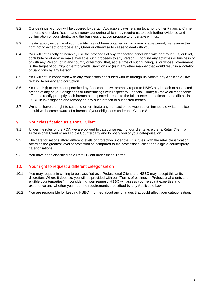- 8.2 Our dealings with you will be covered by certain Applicable Laws relating to, among other Financial Crime matters, client identification and money laundering which may require us to seek further evidence and confirmation of your identity and the business that you propose to undertake with us.
- 8.3 If satisfactory evidence of your identity has not been obtained within a reasonable period, we reserve the right not to accept or process any Order or otherwise to cease to deal with you.
- 8.4 You will not directly or indirectly use the proceeds of any transaction concluded with or through us, or lend, contribute or otherwise make available such proceeds to any Person, (i) to fund any activities or business of or with any Person, or in any country or territory, that, at the time of such funding, is, or whose government is, the target of country- or territory-wide Sanctions or (ii) in any other manner that would result in a violation of Sanctions by any Person.
- 8.5 You will not, in connection with any transaction concluded with or through us, violate any Applicable Law relating to bribery and corruption.
- 8.6 You shall: (i) to the extent permitted by Applicable Law, promptly report to HSBC any breach or suspected breach of any of your obligations or undertakings with respect to Financial Crime; (ii) make all reasonable efforts to rectify promptly such breach or suspected breach to the fullest extent practicable; and (iii) assist HSBC in investigating and remedying any such breach or suspected breach.
- 8.7 We shall have the right to suspend or terminate any transaction between us on immediate written notice should we become aware of a breach of your obligations under this Clause 8.

# 9. Your classification as a Retail Client

- 9.1 Under the rules of the FCA, we are obliged to categorise each of our clients as either a Retail Client, a Professional Client or an Eligible Counterparty and to notify you of your categorisation.
- 9.2 The categorisations afford different levels of protection under the FCA rules, with the retail classification affording the greatest level of protection as compared to the professional client and eligible counterparty categorisations.
- 9.3 You have been classified as a Retail Client under these Terms.

# 10. Your right to request a different categorisation

- 10.1 You may request in writing to be classified as a Professional Client and HSBC may accept this at its discretion. Where it does so, you will be provided with our "Terms of business - Professional clients and eligible counterparties". In considering your request, HSBC will assess your relevant expertise and experience and whether you meet the requirements prescribed by any Applicable Law.
- 10.2 You are responsible for keeping HSBC informed about any changes that could affect your categorisation.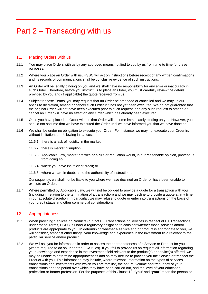# <span id="page-7-0"></span>Part 2 – Transacting with us

# 11. Placing Orders with us

- 11.1 You may place Orders with us by any approved means notified to you by us from time to time for these purposes.
- 11.2 Where you place an Order with us, HSBC will act on instructions before receipt of any written confirmations and its records of communications shall be conclusive evidence of such instructions.
- 11.3 An Order will be legally binding on you and we shall have no responsibility for any error or inaccuracy in such Order. Therefore, before you instruct us to place an Order, you must carefully review the details provided by you and (if applicable) the quote received from us.
- 11.4 Subject to these Terms, you may request that an Order be amended or cancelled and we may, in our absolute discretion, amend or cancel such Order if it has not yet been executed. We do not guarantee that the original Order will not have been executed prior to such request, and any such request to amend or cancel an Order will have no effect on any Order which has already been executed.
- 11.5 Once you have placed an Order with us that Order will become immediately binding on you. However, you should not assume that we have executed the Order until we have informed you that we have done so.
- 11.6 We shall be under no obligation to execute your Order. For instance, we may not execute your Order in, without limitation, the following instances:
	- 11.6.1 there is a lack of liquidity in the market;
	- 11.6.2 there is market disruption;
	- 11.6.3 Applicable Law, market practice or a rule or regulation would, in our reasonable opinion, prevent us from doing so;
	- 11.6.4 where you have insufficient credit; or
	- 11.6.5 where we are in doubt as to the authenticity of instructions.

Consequently, we shall not be liable to you where we have declined an Order or have been unable to execute an Order.

11.7 Where permitted by Applicable Law, we will not be obliged to provide a quote for a transaction with you (including in relation to the termination of a transaction) and we may decline to provide a quote at any time in our absolute discretion. In particular, we may refuse to quote or enter into transactions on the basis of your credit status and other commercial considerations.

# 12. Appropriateness

- 12.1 When providing Services or Products (but not FX Transactions or Services in respect of FX Transactions) under these Terms, HSBC is under a regulatory obligation to consider whether those services and/or products are appropriate to you. In determining whether a service and/or product is appropriate to you, we will consider, amongst other things, your knowledge and experience in the investment field relevant to the particular service and/or product.
- <span id="page-7-1"></span>12.2 We will ask you for information in order to assess the appropriateness of a Service or Product for you (where required to do so under the FCA rules). If you fail to provide us on request all information regarding your knowledge and experience in the investment field relevant to the product(s) or service(s) offered, we may be unable to determine appropriateness and so may decline to provide you the Service or transact the Product with you. This information may include, where relevant, information on the types of services, transactions and investments with which you are familiar, the nature, volume and frequency of your transactions and the period over which they have been carried out, and the level of your education, profession or former profession. For the purposes of this Clause 12, "**you**" and "**your**" mean the person or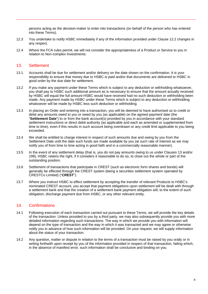persons acting as the decision-maker to enter into transactions (on behalf of the person who has entered into these Terms).

- 12.3 You undertake to notify HSBC immediately if any of the information provided under Clause [12.2](#page-7-1) changes in any respect.
- 12.4 Where the FCA rules permit, we will not consider the appropriateness of a Product or Service to you in relation to Non-complex Investments.

#### 13. Settlement

- 13.1 Accounts shall be due for settlement and/or delivery on the date shown on the confirmation. It is your responsibility to ensure that money due to HSBC is paid and/or that documents are delivered to HSBC in good order by the due date for settlement.
- 13.2 If you make any payment under these Terms which is subject to any deduction or withholding whatsoever, you shall pay to HSBC such additional amount as is necessary to ensure that the amount actually received by HSBC will equal the full amount HSBC would have received had no such deduction or withholding been made. Any payment made by HSBC under these Terms which is subject to any deduction or withholding whatsoever will be made by HSBC less such deduction or withholding.
- 13.3 In placing an Order and entering into a transaction, you will be deemed to have authorised us to credit or debit any amounts owed to you or owed by you (as applicable) on the agreed payment date (the "**Settlement Date**") to or from the bank account(s) provided by you in accordance with your standard settlement instructions or direct debit authority (as applicable and each as amended or supplemented from time to time), even if this results in such account being overdrawn or any credit limit applicable to you being exceeded.
- <span id="page-8-0"></span>13.4 We shall be entitled to charge interest in respect of such amounts due and owing by you from the Settlement Date until the date such funds are made available by you (at such rate of interest as we may notify you of from time to time acting in good faith and in a commercially reasonable manner).
- 13.5 In the event of any settlement delay (that is, you do not pay amounts owing to us under Clauses 13 and/or [199](#page-10-0)), HSBC retains the right, if it considers it reasonable to do so, to close out the whole or part of the outstanding position.
- 13.6 Settlement of transactions that participate in CREST (such as electronic form shares and bonds) will generally be effected through the CREST system (being a securities settlement system operated by CRESTCo Limited) ("**CREST**").
- 13.7 Where you instruct HSBC to effect settlement by accepting the transfer of relevant Products to HSBC's nominated CREST account, you accept that payment obligations upon settlement will be dealt with through a settlement bank and that the creation of a settlement bank payment obligation will, to the extent of such obligation, discharge payment due from HSBC, or any other relevant entity.

# 14. Confirmations

- 14.1 Following execution of each transaction carried out pursuant to these Terms, we will provide the key details of the transaction. Unless provided to you by a third party, we may also subsequently provide you with more detailed information regarding such transactions. The way in which we provide you with information will depend on the type of transaction and the way in which it was transacted and we may agree or otherwise notify you in advance of how such information will be provided. On your request, we will supply information about the status of your transaction.
- 14.2 Any question, matter or dispute in relation to the terms of a transaction must be raised by you orally or in writing forthwith upon receipt by you of the information provided in respect of that transaction, failing which, in the absence of manifest error, such information shall be conclusive and binding on you.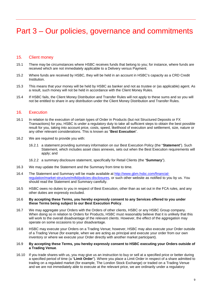# <span id="page-9-0"></span>Part 3 – Our policies, governance and commitments

#### 15. Client money

- 15.1 There may be circumstances where HSBC receives funds that belong to you; for instance, where funds are received which are not immediately applicable to a Delivery versus Payment.
- 15.2 Where funds are received by HSBC, they will be held in an account in HSBC's capacity as a CRD Credit Institution.
- 15.3 This means that your money will be held by HSBC as banker and not as trustee or (as applicable) agent. As a result, such money will not be held in accordance with the Client Money Rules.
- 15.4 If HSBC fails, the Client Money Distribution and Transfer Rules will not apply to these sums and so you will not be entitled to share in any distribution under the Client Money Distribution and Transfer Rules.

#### 16. Execution

- 16.1 In relation to the execution of certain types of Order in Products (but not Structured Deposits or FX Transactions) for you, HSBC is under a regulatory duty to take all sufficient steps to obtain the best possible result for you, taking into account price, costs, speed, likelihood of execution and settlement, size, nature or any other relevant considerations. This is known as "**Best Execution**".
- 16.2 We are required to provide you with:
	- 16.2.1 a statement providing summary information on our Best Execution Policy (the "**Statement**"). Such Statement, which includes asset class annexes, sets out when the Best Execution requirements will apply; and
	- 16.2.2 a summary disclosure statement, specifically for Retail Clients (the "**Summary**").
- 16.3 We may update the Statement and the Summary from time to time.
- 16.4 The Statement and Summary will be made available at [http://www.gbm.hsbc.com/financial](http://www.gbm.hsbc.com/financial-regulation/market-structure/mifid/policies-disclosures)[regulation/market-structure/mifid/policies-disclosures,](http://www.gbm.hsbc.com/financial-regulation/market-structure/mifid/policies-disclosures) or such other website as notified to you by us. You should read the Statement and Summary carefully.
- 16.5 HSBC owes no duties to you in respect of Best Execution, other than as set out in the FCA rules, and any other duties are expressly excluded.

#### 16.6 **By accepting these Terms, you hereby expressly consent to any Services offered to you under these Terms being subject to our Best Execution Policy**.

- 16.7 We may aggregate your Orders with the Orders of other clients, HSBC or any HSBC Group company. When doing so in relation to Orders for Products, HSBC must reasonably believe that it is unlikely that this will work to the overall disadvantage of the relevant clients. However, the effect of the aggregation may operate on some occasions to your disadvantage.
- 16.8 HSBC may execute your Orders on a Trading Venue; however, HSBC may also execute your Order outside of a Trading Venue (for example, when we are acting as principal and execute your order from our own inventory or where we execute your Order directly with another market participant).
- 16.9 **By accepting these Terms, you hereby expressly consent to HSBC executing your Orders outside of a Trading Venue**.
- 16.10 If you trade shares with us, you may give us an instruction to buy or sell at a specified price or better during a specified period of time (a "**Limit Order**"). Where you place a Limit Order in respect of a share admitted to trading on a regulated market (for example, The London Stock Exchange) or traded on a Trading Venue and we are not immediately able to execute at the relevant price, we are ordinarily under a regulatory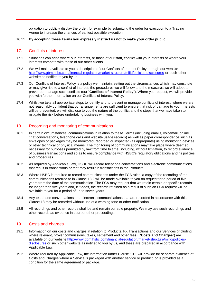obligation to publicly display the order, for example by submitting the order for execution to a Trading Venue to increase the chances of earliest possible execution.

#### 16.11 **By accepting these Terms you expressly instruct us not to make your order public**.

# 17. Conflicts of interest

- 17.1 Situations can arise where our interests, or those of our staff, conflict with your interests or where your interests compete with those of our other clients.
- 17.2 We will make available to you a description of our Conflicts of Interest Policy through our website <http://www.gbm.hsbc.com/financial-regulation/market-structure/mifid/policies-disclosures> or such other website as notified to you by us.
- 17.3 Our Conflicts of Interest Policy is a policy we maintain, setting out the circumstances which may constitute or may give rise to a conflict of interest, the procedures we will follow and the measures we will adopt to prevent or manage such conflicts (our "**Conflicts of Interest Policy**"). Where you request, we will provide you with further information on our Conflicts of Interest Policy.
- 17.4 Whilst we take all appropriate steps to identify and to prevent or manage conflicts of interest, where we are not reasonably confident that our arrangements are sufficient to ensure that risk of damage to your interests will be prevented, we will disclose to you the nature of the conflict and the steps that we have taken to mitigate the risk before undertaking business with you.

# <span id="page-10-2"></span>18. Recording and monitoring of communications

- 18.1 In certain circumstances, communications in relation to these Terms (including emails, voicemail, online chat conversations, telephone calls and website usage records) as well as paper correspondence such as envelopes or packages may be monitored, recorded or inspected (as appropriate) using monitoring devices or other technical or physical means. The monitoring of communications may take place where deemed necessary for purposes permitted by law from time to time, including, without limitation, to record evidence of business transactions and so as to ensure compliance with HSBC's regulatory obligations and its policies and procedures.
- <span id="page-10-1"></span>18.2 As required by Applicable Law, HSBC will record telephone conversations and electronic communications that result in transactions or that may result in transactions in the Products.
- 18.3 Where HSBC is required to record communications under the FCA rules, a copy of the recording of the communications referred to in Clause [18.2](#page-10-1) will be made available to you on request for a period of five years from the date of the communication. The FCA may request that we retain certain or specific records for longer than five years and, if it does, the records retained as a result of such an FCA request will be available to you for a period of up to seven years.
- 18.4 Any telephone conversations and electronic communications that are recorded in accordance with this Clause [18](#page-10-2) may be recorded without use of a warning tone or other notification.
- 18.5 All recordings and other records shall be and remain our sole property. We may use such recordings and other records as evidence in court or other proceedings.

# <span id="page-10-0"></span>19. Costs and charges

- <span id="page-10-3"></span>19.1 Information on our costs and charges in relation to Products, FX Transactions and our Services (including, where relevant, broker commissions, taxes, settlement and other fees) ("**Costs and Charges**") are available on our website [http://www.gbm.hsbc.com/financial-regulation/market-structure/mifid/policies](http://www.gbm.hsbc.com/financial-regulation/market-structure/mifid/policies-disclosures)[disclosures](http://www.gbm.hsbc.com/financial-regulation/market-structure/mifid/policies-disclosures) or such other website as notified to you by us, and these are prepared in accordance with Applicable Law.
- 19.2 Where required by Applicable Law, the information under Clause [19.1](#page-10-3) will provide for separate evidence of Costs and Charges where a Service is packaged with another service or product, or is provided as a condition for the same agreement or package.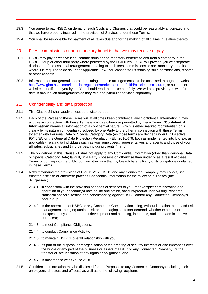- 19.3 You agree to pay HSBC, on demand, such Costs and Charges that could be reasonably anticipated and that we have properly incurred in the provision of Services under these Terms.
- 19.4 You shall be responsible for payment of all taxes due and for the making of all claims in relation thereto.

#### 20. Fees, commissions or non-monetary benefits that we may receive or pay

- 20.1 HSBC may pay or receive fees, commissions or non-monetary benefits to and from a company in the HSBC Group or other third party where permitted by the FCA rules. HSBC will provide you with separate disclosure of the essential arrangements relating to such fees, commissions or non-monetary benefits where it is required to do so under Applicable Law. You consent to us retaining such commissions, rebates or other benefits.
- 20.2 Information on our general approach relating to these arrangements can be accessed through our website [http://www.gbm.hsbc.com/financial-regulation/market-structure/mifid/policies-disclosures,](http://www.gbm.hsbc.com/financial-regulation/market-structure/mifid/policies-disclosures) or such other website as notified to you by us. You should read the notice carefully. We will also provide you with further details about such arrangements as they relate to particular services separately.

#### 21. Confidentiality and data protection

- 21.1 This Clause 21 shall apply unless otherwise agreed.
- <span id="page-11-0"></span>21.2 Each of the Parties to these Terms will at all times keep confidential any Confidential Information it may acquire in connection with these Terms except as otherwise permitted by these Terms. "**Confidential Information**" means all information of a confidential nature (which is either marked "confidential" or is clearly by its nature confidential) disclosed by one Party to the other in connection with these Terms together with Personal Data or Special Category Data (as those terms are defined under EC Directive 95/46/EC or the General Data Protection Regulation (EU) 2016/679, both as implemented into UK law, as applicable), relating to individuals such as your employees, representatives and agents and those of your affiliates, subsidiaries and third parties, including clients (if any).
- 21.3 The obligations in this Clause 21 shall not apply to any Confidential Information (other than Personal Data or Special Category Data) lawfully in a Party's possession otherwise than under or as a result of these Terms or coming into the public domain otherwise than by breach by any Party of its obligations contained in these Terms.
- 21.4 Notwithstanding the provisions of Clause [21.2,](#page-11-0) HSBC and any Connected Company may collect, use, transfer, disclose or otherwise process Confidential Information for the following purposes (the "**Purposes**"):
	- 21.4.1 in connection with the provision of goods or services to you (for example: administration and operation of your account(s) both online and offline, account/product underwriting, research, statistical analysis, testing and benchmarking against HSBC and/or any Connected Company's peer group);
	- 21.4.2 in the operations of HSBC or any Connected Company (including, without limitation, credit and risk management, hedging against risk and managing customer demand, whether expected or unexpected, system or product development and planning, insurance, audit and administrative purposes);
	- 21.4.3 to meet Compliance Obligations;
	- 21.4.4 to conduct Compliance Activity;
	- 21.4.5 to maintain HSBC's overall relationship with you;
	- 21.4.6 as part of the disposal or reorganisation or the granting of security interests or encumbrances over the whole or any part of the business or assets of HSBC or any Connected Company, or the transfer or securitisation of any rights or obligations; and
	- 21.4.7 in accordance with Clause [21.8.](#page-12-0)
- 21.5 Confidential Information may be disclosed for the Purposes to any Connected Company (including their employees, directors and officers) as well as to the following recipients: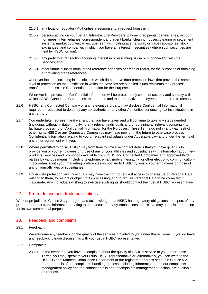- 21.5.1 any legal or regulatory Authorities in response to a request from them;
- 21.5.2 persons acting on your behalf, Infrastructure Providers, payment recipients, beneficiaries, account nominees, intermediaries, correspondent and agent banks, clearing houses, clearing or settlement systems, market counterparties, upstream withholding agents, swap or trade repositories, stock exchanges, and companies in which you have an interest in securities (where such securities are held by HSBC for you);
- 21.5.3 any party to a transaction acquiring interest in or assuming risk in or in connection with the Services; and
- 21.5.4 other financial institutions, credit reference agencies or credit bureaus, for the purposes of obtaining or providing credit references,

wherever located, including in jurisdictions which do not have data protection laws that provide the same level of protection as the jurisdiction in which the Services are supplied. Such recipients may process, transfer and/or disclose Confidential Information for the Purposes.

Wherever it is processed, Confidential Information will be protected by codes of secrecy and security with which HSBC, Connected Companies, third parties and their respective employees are required to comply.

- 21.6 HSBC, any Connected Company or any relevant third party may disclose Confidential Information if required or requested to do so by any tax authority or any other Authorities conducting tax investigations in any territory.
- 21.7 You undertake, represent and warrant that you have taken and will continue to take any steps needed (including, without limitation, notifying any relevant individuals and/or obtaining all relevant consents), to facilitate processing of Confidential Information for the Purposes. These Terms do not in any way restrict other rights HSBC or any Connected Companies may have now or in the future to otherwise process Confidential Information relating to you or relevant individuals under Applicable Law and under the terms of any other agreement with you.
- <span id="page-12-0"></span>21.8 Where permitted to do so, HSBC may from time to time use contact details that you have given us to provide you or your employees or those of any of your affiliates and subsidiaries with information about new products, services and promotions available from HSBC and Connected Companies and approved third parties by various means (including telephone, email, mobile messaging or other electronic communication) in accordance with your marketing preferences as notified to HSBC by you or your employees or those of any of your affiliates or subsidiaries.
- 21.9 Under data protection law, individuals may have the right to request access to or erasure of Personal Data relating to them, to restrict or object to its processing, and to require Personal Data to be corrected if inaccurate. Any individuals wishing to exercise such rights should contact their usual HSBC representative.

# 22. Pre-trade and post-trade publications

Without prejudice to Clause 21, you agree and acknowledge that HSBC has regulatory obligations in respect of any pre-trade or post-trade information relating to the execution of any transactions and HSBC may use this information for its own commercial purposes.

# 23. Feedback and complaints

23.1 Feedback:

We welcome any feedback on the quality of the services provided to you under these Terms. If you do have any feedback, please discuss this with your usual HSBC representative.

- 23.2 Complaints:
	- 23.2.1 In the event that you have a complaint about the quality of HSBC's service to you under these Terms, you may speak to your usual HSBC representative or, alternatively, you can write to the HSBC Global Markets Compliance Department at our registered address set out in Clause 5.2. Further details of the complaints-handling process, including information about our complaints management policy and the contact details of our complaints management function, are available on request.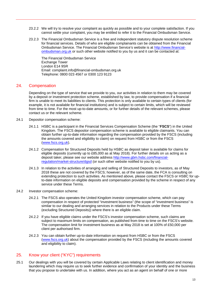- 23.2.2 We will try to resolve your complaint as quickly as possible and to your complete satisfaction. If you cannot settle your complaint, you may be entitled to refer it to the Financial Ombudsman Service.
- 23.2.3 The Financial Ombudsman Service is a free and independent statutory dispute resolution scheme for financial services. Details of who are eligible complainants can be obtained from the Financial Ombudsman Service. The Financial Ombudsman Service's website is at [http://www.financial](http://www.financial-ombudsman.org.uk/)[ombudsman.org.uk](http://www.financial-ombudsman.org.uk/) or such other website notified to you by us and it can be contacted at:

The Financial Ombudsman Service Exchange Tower London E14 9SR Email: complaint.info@financial-ombudsman.org.uk Telephone: 0800 023 4567 or 0300 123 9123

#### 24. Compensation

Depending on the type of service that we provide to you, our activities in relation to them may be covered by a deposit or investment protection scheme, established by law, to provide compensation if a financial firm is unable to meet its liabilities to clients. This protection is only available to certain types of clients (for example, it is not available for financial institutions) and is subject to certain limits, which will be reviewed from time to time. For the most up-to-date amounts, or for further details of the relevant schemes, please contact us or the relevant scheme.

- 24.1 Depositor compensation scheme:
	- 24.1.1 HSBC is a participant in the Financial Services Compensation Scheme (the "**FSCS**") in the United Kingdom. The FSCS depositor compensation scheme is available to eligible claimants. You can obtain further up-to-date information regarding the compensation provided by the FSCS (including the amounts covered and eligibility to claim) on request from HSBC or from the FSCS [\(www.fscs.org.uk\)](http://www.fscs.org.uk/).
	- 24.1.2 Compensation for Structured Deposits held by HSBC as deposit taker is available for claims for eligible deposits (currently up to £85,000 as at May 2018). For further details on us acting as a deposit taker, please see our website address [http://www.gbm.hsbc.com/financial](http://www.gbm.hsbc.com/financial-regulation/market-structure/dgsd)[regulation/market-structure/dgsd](http://www.gbm.hsbc.com/financial-regulation/market-structure/dgsd) (or such other website notified to you by us).
	- 24.1.3 In relation to the activities of arranging and selling of Structured Deposits to investors, as of May 2018 these are not covered by the FSCS; however, as of the same date, the FCA is consulting on extending protection to such activities. As mentioned above, please contact the FSCS or HSBC for upto-date information on eligible deposits and compensation provided by the scheme in respect of any service under these Terms.
- 24.2 Investor compensation scheme:
	- 24.2.1 The FSCS also operates the United Kingdom investor compensation scheme, which can pay compensation in respect of protected "investment business" (the scope of "investment business" is similar to our dealing and arranging services in relation to the Products under these Terms (excluding Structured Deposits)) where there is an eligible claim.
	- 24.2.2 If you have eligible claims under the FSCS's investor compensation scheme, such claims are subject to maximum limits on compensation, as published from time to time on the FSCS's website. The compensation limit for investment business as at May 2018 is set at 100% of £50,000 per client per authorised firm.
	- 24.2.3 You can obtain further up-to-date information on request from HSBC or from the FSCS [\(www.fscs.org.uk\)](http://www.fscs.org.uk/) about the compensation provided by the FSCS (including the amounts covered and eligibility to claim).

# 25. Know your client ("KYC") requirements

25.1 Our dealings with you will be covered by certain Applicable Laws relating to client identification and money laundering which may require us to seek further evidence and confirmation of your identity and the business that you propose to undertake with us. In addition, where you act as an agent on behalf of one or more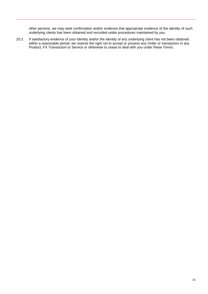other persons, we may seek confirmation and/or evidence that appropriate evidence of the identity of such underlying clients has been obtained and recorded under procedures maintained by you.

25.2 If satisfactory evidence of your identity and/or the identity of any underlying client has not been obtained within a reasonable period, we reserve the right not to accept or process any Order or transaction in any Product, FX Transaction or Service or otherwise to cease to deal with you under these Terms.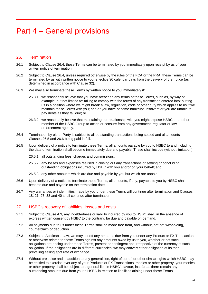# <span id="page-15-0"></span>Part 4 – General provisions

# 26. Termination

- 26.1 Subject to Clause [26.4,](#page-15-1) these Terms can be terminated by you immediately upon receipt by us of your written notice of termination.
- 26.2 Subject to Clause [26.4,](#page-15-1) unless required otherwise by the rules of the FCA or the PRA, these Terms can be terminated by us with written notice to you, effective 30 calendar days from the delivery of the notice (as determined in accordance with Clause 32).
- 26.3 We may also terminate these Terms by written notice to you immediately if:
	- 26.3.1 we reasonably believe that you have breached any terms of these Terms, such as, by way of example, but not limited to: failing to comply with the terms of any transaction entered into; putting us in a position where we might break a law, regulation, code or other duty which applies to us if we maintain these Terms with you; and/or you have become bankrupt, insolvent or you are unable to pay debts as they fall due; or
	- 26.3.2 we reasonably believe that maintaining our relationship with you might expose HSBC or another member of the HSBC Group to action or censure from any government, regulator or law enforcement agency.
- <span id="page-15-1"></span>26.4 Termination by either Party is subject to all outstanding transactions being settled and all amounts in Clauses [26.5](#page-15-2) and [26.6](#page-15-3) being paid in full.
- <span id="page-15-2"></span>26.5 Upon delivery of a notice to terminate these Terms, all amounts payable by you to HSBC to and including the date of termination shall become immediately due and payable. These shall include (without limitation):
	- 26.5.1 all outstanding fees, charges and commissions;
	- 26.5.2 any losses and expenses realised in closing out any transactions or settling or concluding outstanding obligations incurred by HSBC with you and/or on your behalf; and
	- 26.5.3 any other amounts which are due and payable by you but which are unpaid.
- <span id="page-15-3"></span>26.6 Upon delivery of a notice to terminate these Terms, all amounts, if any, payable to you by HSBC shall become due and payable on the termination date.
- 26.7 Any warranties or indemnities made by you under these Terms will continue after termination and Clauses 18, 21, 27, 38 and 40 shall continue after termination.

# 27. HSBC's recovery of liabilities, losses and costs

- 27.1 Subject to Clause [4.3,](#page-4-2) any indebtedness or liability incurred by you to HSBC shall, in the absence of express written consent by HSBC to the contrary, be due and payable on demand.
- 27.2 All payments due to us under these Terms shall be made free from, and without, set-off, withholding, counterclaim or deduction.
- <span id="page-15-4"></span>27.3 Subject to Applicable Law, we may set off any amounts due from you under any Product or FX Transaction or otherwise related to these Terms against any amounts owed by us to you, whether or not such obligations are arising under these Terms, present or contingent and irrespective of the currency of such obligation. If the obligations are in different currencies, we may convert either obligation at its then prevailing selling spot rate of exchange.
- 27.4 Without prejudice and in addition to any general lien, right of set-off or other similar rights which HSBC may be entitled to exercise over any of your Products or FX Transactions, monies or other property, your monies or other property shall be subject to a general lien in HSBC's favour, insofar as there remain any outstanding amounts due from you to HSBC in relation to liabilities arising under these Terms.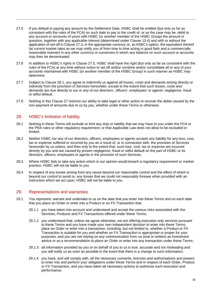- <span id="page-16-0"></span>27.5 If you default in paying any amount by the Settlement Date, HSBC shall be entitled (but only so far as consistent with the rules of the FCA) on such date to pay to the credit of, or as the case may be, debit to any account or accounts of yours with HSBC (or another member of the HSBC Group) the amount in question, together with any applicable interest (determined under Clause [13.4\)](#page-8-0) and with or without the application of set-off in Clause [27.3,](#page-15-4) in the appropriate currency or, at HSBC's option, the equivalent thereof (at current market rates as we may notify you of from time to time acting in good faith and a commercially reasonable manner) in any other currency or currencies in which any balance on such account or accounts may then be denominated.
- 27.6 In addition to HSBC's rights in Clause [27.5,](#page-16-0) HSBC shall have the right (but only so far as consistent with the rules of the FCA) at any time without notice to set off and/or combine and/or consolidate all or any of your accounts maintained with HSBC (or another member of the HSBC Group) in such manner as HSBC may determine.
- 27.7 Subject to Clause [28.1,](#page-16-1) you agree to indemnify us against all losses, costs and demands arising directly or indirectly from the provision of Services hereunder, except to the extent that such losses, costs and demands are due directly to our or any of our directors', officers', employees' or agents' negligence, fraud or wilful default.
- 27.8 Nothing in this Clause 27 restricts our ability to take legal or other action to recover the debts caused by the non-payment of amounts due to us by you, whether under these Terms or otherwise.

#### 28. HSBC's limitation of liability

- <span id="page-16-1"></span>28.1 Nothing in these Terms will exclude or limit any duty or liability that we may have to you under the FCA or the PRA rules or other regulatory requirement; or that Applicable Law does not allow to be excluded or limited.
- 28.2 Neither HSBC nor any of our directors, officers, employees or agents accepts any liability for any loss, cost, tax or expense suffered or incurred by you as a result of, or in connection with, the provision of Services hereunder by us unless, and then only to the extent that, such loss, cost, tax or expense are incurred directly by you and are caused by proven negligence, fraud or wilful default on the part of HSBC or its directors, officers, employees or agents in the provision of such Services.
- 28.3 Where HSBC fails to take any action which in our opinion would breach a regulatory requirement or market practice, HSBC will not be liable to you.
- 28.4 In respect of any losses arising from any cause beyond our reasonable control and the effect of which is beyond our control to avoid or, any losses that we could not reasonably foresee when provided with an instruction which we act upon, HSBC will not be liable to you.

#### 29. Representations and warranties

- 29.1 You represent, warrant and undertake to us on the date that you enter into these Terms and on each date that you place an Order or enter into a Product or an FX Transaction that:
	- 29.1.1 you have taken into account and understand and accept the various risks associated with the Services, Products and FX Transactions offered under these Terms;
	- 29.1.2 you understand that, unless we agree otherwise, we are offering execution only services pursuant to these Terms and you have made your own independent decision to enter into these Terms, place an Order or enter into a transaction, including, but not limited to, whether a Product or FX Transaction is suitable for you and whether an FX Transaction is appropriate or proper for your purposes, and you are not relying on any communication from us (oral or written) as investment advice or as a recommendation to place an Order or enter into any transaction under these Terms;
	- 29.1.3 all information provided by you or on behalf of you to us is true, accurate and not misleading and you will notify us as soon as possible in the event that there is a change to such information;
	- 29.1.4 you have, and will comply with, all the necessary consents, licences and authorisations and powers to enter into and perform your obligations under these Terms and in respect of each Order, Product or FX Transaction, and you have taken all necessary actions to authorise such execution and performance;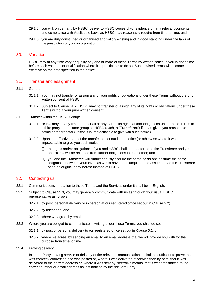- 29.1.5 you will, on demand by HSBC, deliver to HSBC copies of (or evidence of) any relevant consents and compliance with Applicable Laws as HSBC may reasonably require from time to time; and
- 29.1.6 you are duly constituted or organised and validly existing and in good standing under the laws of the jurisdiction of your incorporation.

#### 30. Variation

HSBC may at any time vary or qualify any one or more of these Terms by written notice to you in good time before such variation or qualification where it is practicable to do so. Such revised terms will become effective on the date specified in the notice.

#### 31. Transfer and assignment

#### 31.1 General:

- 31.1.1 You may not transfer or assign any of your rights or obligations under these Terms without the prior written consent of HSBC.
- 31.1.2 Subject to Clause [31.2,](#page-17-1) HSBC may not transfer or assign any of its rights or obligations under these Terms without your prior written consent.
- <span id="page-17-1"></span>31.2 Transfer within the HSBC Group:
	- 31.2.1 HSBC may, at any time, transfer all or any part of its rights and/or obligations under these Terms to a third party in the same group as HSBC (each, a "**Transferee**") if it has given you reasonable notice of the transfer (unless it is impracticable to give you such notice).
	- 31.2.2 Upon the effective date of the transfer as set out in the notice (or otherwise where it was impracticable to give you such notice):
		- (i) the rights and/or obligations of you and HSBC shall be transferred to the Transferee and you and HSBC will be released from further obligations to each other; and
		- (ii) you and the Transferee will simultaneously acquire the same rights and assume the same obligations between yourselves as would have been acquired and assumed had the Transferee been an original party hereto instead of HSBC.

#### <span id="page-17-0"></span>32. Contacting us

- 32.1 Communications in relation to these Terms and the Services under it shall be in English.
- 32.2 Subject to Clause [32.3,](#page-17-2) you may generally communicate with us as through your usual HSBC representative as follows:
	- 32.2.1 by post, personal delivery or in person at our registered office set out in Clause 5.2;
	- 32.2.2 by telephone; and
	- 32.2.3 where we agree, by email.
- <span id="page-17-2"></span>32.3 Where you are obliged to communicate in writing under these Terms, you shall do so:
	- 32.3.1 by post or personal delivery to our registered office set out in Clause 5.2; or
	- 32.3.2 where we agree, by sending an email to an email address that we will provide you with for the purpose from time to time.
- 32.4 Proving delivery:

In either Party proving service or delivery of the relevant communication, it shall be sufficient to prove that it was correctly addressed and was posted or, where it was delivered otherwise than by post, that it was delivered to the correct address or, where it was sent by electronic means, that it was transmitted to the correct number or email address as last notified by the relevant Party.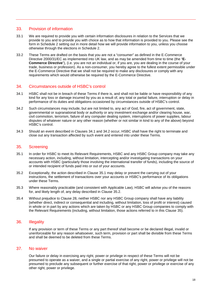#### 33. Provision of information

- 33.1 We are required to provide you with certain information disclosures in relation to the Services that we provide to you and to provide you with choice as to how that information is provided to you. Please see the form in Schedule 2 setting out in more detail how we will provide information to you, unless you choose otherwise through the elections in Schedule 2.
- 33.2 These Terms are drafted on the basis that you are not a "consumer" as defined in the E-Commerce Directive 2000/31/EC as implemented into UK law, and as may be amended from time to time (the "**E-Commerce Directive**"), (i.e. you are not an individual or, if you are, you are dealing in the course of your trade, business or profession). As a non-consumer, you hereby agree to the fullest extent permissible under the E-Commerce Directive that we shall not be required to make any disclosures or comply with any requirements which would otherwise be required by the E-Commerce Directive.

# 34. Circumstances outside of HSBC's control

- <span id="page-18-0"></span>34.1 HSBC shall not be in breach of these Terms if there is, and shall not be liable or have responsibility of any kind for any loss or damage incurred by you as a result of, any total or partial failure, interruption or delay in performance of its duties and obligations occasioned by circumstances outside of HSBC's control.
- <span id="page-18-1"></span>34.2 Such circumstances may include, but are not limited to, any act of God, fire, act of government, state, governmental or supranational body or authority or any investment exchange and/or clearing house, war, civil commotion, terrorism, failure of any computer dealing system, interruptions of power supplies, labour disputes of whatever nature or any other reason (whether or not similar in kind to any of the above) beyond HSBC's control.
- 34.3 Should an event described in Clauses [34.1](#page-18-0) and [34.2](#page-18-1) occur, HSBC shall have the right to terminate and close out any transaction affected by such event and entered into under these Terms.

#### 35. Screening

- <span id="page-18-2"></span>35.1 In order for HSBC to meet its Relevant Requirements, HSBC and any HSBC Group company may take any necessary action, including, without limitation, intercepting and/or investigating transactions on your accounts with HSBC (particularly those involving the international transfer of funds), including the source of or intended recipient of funds paid into or out of your accounts.
- <span id="page-18-3"></span>35.2 Exceptionally, the action described in Clause [35.1](#page-18-2) may delay or prevent the carrying out of your instructions, the settlement of transactions over your accounts or HSBC's performance of its obligations under these Terms.
- 35.3 Where reasonably practicable (and consistent with Applicable Law), HSBC will advise you of the reasons for, and likely length of, any delay described in Clause [35.2.](#page-18-3)
- 35.4 Without prejudice to Clause 28, neither HSBC nor any HSBC Group company shall have any liability (whether direct, indirect or consequential and including, without limitation, loss of profit or interest) caused in whole or in part by any actions which are taken by HSBC or any HSBC Group companies to comply with the Relevant Requirements (including, without limitation, those actions referred to in this Clause 35).

# 36. Illegality

If any provision or term of these Terms or any part thereof shall become or be declared illegal, invalid or unenforceable for any reason whatsoever, such term, provision or part shall be divisible from these Terms and shall be deemed to be deleted from these Terms.

#### 37. No waiver

Our failure or delay in exercising any right, power or privilege in respect of these Terms will not be presumed to operate as a waiver, and a single or partial exercise of any right, power or privilege will not be presumed to preclude any subsequent or further exercise of that right, power or privilege or exercise of any other right, power or privilege.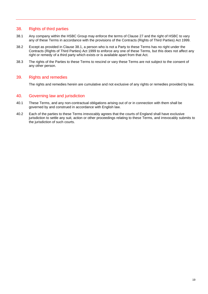# 38. Rights of third parties

- <span id="page-19-0"></span>38.1 Any company within the HSBC Group may enforce the terms of Clause 27 and the right of HSBC to vary any of these Terms in accordance with the provisions of the Contracts (Rights of Third Parties) Act 1999.
- 38.2 Except as provided in Clause [38.1,](#page-19-0) a person who is not a Party to these Terms has no right under the Contracts (Rights of Third Parties) Act 1999 to enforce any one of these Terms, but this does not affect any right or remedy of a third party which exists or is available apart from that Act.
- 38.3 The rights of the Parties to these Terms to rescind or vary these Terms are not subject to the consent of any other person.

# 39. Rights and remedies

The rights and remedies herein are cumulative and not exclusive of any rights or remedies provided by law.

#### 40. Governing law and jurisdiction

- 40.1 These Terms, and any non-contractual obligations arising out of or in connection with them shall be governed by and construed in accordance with English law.
- 40.2 Each of the parties to these Terms irrevocably agrees that the courts of England shall have exclusive jurisdiction to settle any suit, action or other proceedings relating to these Terms, and irrevocably submits to the jurisdiction of such courts.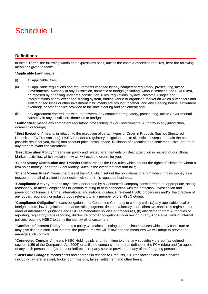# <span id="page-20-0"></span>Schedule 1

# **Definitions**

In these Terms, the following words and expressions shall, unless the context otherwise requires, bear the following meanings given to them:

#### "**Applicable Law**" means:

- (i) all applicable laws;
- (ii) all applicable regulations and requirements imposed by any competent regulatory, prosecuting, tax or Governmental Authority in any jurisdiction, domestic or foreign (including, without limitation, the FCA rules), or imposed by or arising under the constitution, rules, regulations, bylaws, customs, usages and interpretations of any exchange, trading system, trading venue or organised market on which purchasers and sellers of securities or other investment instruments are brought together, and any clearing house, settlement exchange or other service provided to facilitate clearing and settlement; and
- (iii) any agreement entered into with, or between, any competent regulatory, prosecuting, tax or Governmental Authority in any jurisdiction, domestic or foreign;

"**Authorities**" means any competent regulatory, prosecuting, tax or Governmental Authority in any jurisdiction, domestic or foreign;

"**Best Execution**" means, in relation to the execution of certain types of Order in Products (but not Structured Deposits or FX Transactions), HSBC is under a regulatory obligation to take all sufficient steps to obtain the best possible result for you, taking into account price, costs, speed, likelihood of execution and settlement, size, nature or any other relevant considerations;

"**Best Execution Policy**" means our policy and related arrangements on Best Execution in respect of our Global Markets activities, which explains how we will execute orders for you;

"**Client Money Distribution and Transfer Rules**" means the FCA rules which set out the rights of clients for whom a firm holds money under the Client Money Rules in the event that that firm fails;

"**Client Money Rules**" means the rules of the FCA which set out the obligations of a firm when it holds money as a trustee on behalf of a client in connection with the firm's regulated business;

"**Compliance Activity**" means any activity performed by a Connected Company considered to be appropriate, acting reasonably, to meet Compliance Obligations relating to or in connection with the detection, investigation and prevention of Financial Crime, international and national guidance, relevant HSBC procedures and/or the direction of any public, regulatory or industry body relevant to any member of the HSBC Group;

"**Compliance Obligation**" means obligations of a Connected Company to comply with: (a) any applicable local or foreign statute, law, regulation, ordinance, rule, judgment, decree, voluntary code, directive, sanctions regime, court order or international guidance and HSBC's mandatory policies or procedures, (b) any demand from Authorities or reporting, regulatory trade reporting, disclosure or other obligations under law or (c) any Applicable Laws or internal policies requiring HSBC to verify the identity of its customers;

"**Conflicts of Interest Policy**" means a policy we maintain setting out the circumstances which may constitute or may give rise to a conflict of interest, the procedures we will follow and the measures we will adopt to prevent or manage such conflicts;

"**Connected Company**" means HSBC Holdings plc and, from time to time, any subsidiary thereof (as defined in section 1159 of the Companies Act 2006) or affiliated company thereof (as defined in the FCA rules) and (a) agents of any such person, and (b) direct or indirect third party service providers of any of the foregoing persons;

"**Costs and Charges**" means costs and charges in relation to Products, FX Transactions and our Services (including, where relevant, broker commissions, taxes, settlement and other fees);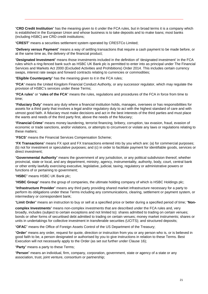"**CRD Credit Institution**" has the meaning given to it under the FCA rules, but in broad terms it is a company which is established in the European Union and whose business is to take deposits and to make loans; most banks (including HSBC) are CRD credit institutions;

"**CREST**" means a securities settlement system operated by CRESTCo Limited;

"**Delivery versus Payment**" means a way of settling transactions that require a cash payment to be made before, or at the same time as, the delivery of the financial product;

"**Designated Investment**" means those investments included in the definition of 'designated investment' in the FCA rules which a ring-fenced bank such as HSBC UK Bank plc is permitted to enter into as principal under The Financial Services and Markets Act 2000 (Excluded Activities and Prohibitions) Order 2014. This includes certain currency swaps, interest rate swaps and forward contracts relating to currencies or commodities;

"**Eligible Counterparty**" has the meaning given to it in the FCA rules;

"**FCA**" means the United Kingdom Financial Conduct Authority, or any successor regulator, which may regulate the provision of HSBC's services under these Terms;

"**FCA rules**" or "**rules of the FCA**" means the rules, regulations and procedures of the FCA in force from time to time;

"**Fiduciary Duty**" means any duty where a financial institution holds, manages, oversees or has responsibilities for assets for a third party that involves a legal and/or regulatory duty to act with the highest standard of care and with utmost good faith. A fiduciary must make decisions and act in the best interests of the third parties and must place the wants and needs of the third party first, above the needs of the fiduciary;

"**Financial Crime**" means money laundering, terrorist financing, bribery, corruption, tax evasion, fraud, evasion of economic or trade sanctions, and/or violations, or attempts to circumvent or violate any laws or regulations relating to these matters;

"**FSCS**" means the Financial Services Compensation Scheme;

"**FX Transactions**" means FX spot and FX transactions entered into by you which are: (a) for commercial purposes; (b) not for investment or speculative purposes; and (c) in order to facilitate payment for identifiable goods, services or direct investment;

"**Governmental Authority**" means the government of any jurisdiction, or any political subdivision thereof, whether provincial, state or local, and any department, ministry, agency, instrumentality, authority, body, court, central bank or other entity lawfully exercising executive, legislative, judicial, taxing, regulatory or administrative powers or functions of or pertaining to government;

"**HSBC**" means HSBC UK Bank plc;

"**HSBC Group**" means the group of companies, the ultimate holding company of which is HSBC Holdings plc;

"**Infrastructure Provider**" means any third party providing shared market infrastructure necessary for a party to perform its obligations under these Terms including any communications, clearing, settlement or payment system, or intermediary or correspondent bank;

"**Limit Order**" means an instruction to buy or sell at a specified price or better during a specified period of time; "**Non-**

**complex Investments**" means non-complex investments that are described under the FCA rules and, very broadly, includes (subject to certain exceptions and not limited to): shares admitted to trading on certain venues; bonds or other forms of securitised debt admitted to trading on certain venues; money market instruments; shares or units in undertakings for collective investment in transferable securities (UCITS); and structured deposits;

"**OFAC**" means the Office of Foreign Assets Control of the US Department of the Treasury;

"**Order**" means any order, request for quote, direction or instruction from you or any person who is, or is believed in good faith to be, a person designated or authorised by you to give instructions in relation to these Terms. Best Execution will not necessarily apply to the Order (as set out further under Clause 16);

"**Party**" means a party to these Terms;

"**Person**" means an individual, firm, company, corporation, government, state or agency of a state or any association, trust, joint venture, consortium or partnership;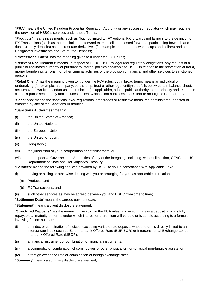"**PRA**" means the United Kingdom Prudential Regulation Authority or any successor regulator which may regulate the provision of HSBC's services under these Terms;

"**Products**" means investments, such as (but not limited to) FX options, FX forwards not falling into the definition of FX Transactions (such as, but not limited to, forward extras, collars, boosted forwards, participating forwards and dual currency deposits) and interest rate derivatives (for example, interest rate swaps, caps and collars) and other Designated Investments and Structured Deposits;

"**Professional Client**" has the meaning given to it under the FCA rules;

"**Relevant Requirements**" means, in respect of HSBC, HSBC's legal and regulatory obligations, any request of a public or regulatory authority or pursuant to internal policies applicable to HSBC in relation to the prevention of fraud, money laundering, terrorism or other criminal activities or the provision of financial and other services to sanctioned persons;

"**Retail Client**" has the meaning given to it under the FCA rules, but in broad terms means an individual or undertaking (for example, a company, partnership, trust or other legal entity) that falls below certain balance sheet, net turnover, own funds and/or asset thresholds (as applicable), a local public authority, a municipality and, in certain cases, a public sector body and includes a client which is not a Professional Client or an Eligible Counterparty;

"**Sanctions**" means the sanctions laws, regulations, embargoes or restrictive measures administered, enacted or enforced by any of the Sanctions Authorities;

"**Sanctions Authorities**" means:

- (i) the United States of America;
- (ii) the United Nations;
- (iii) the European Union;
- (iv) the United Kingdom;
- (v) Hong Kong;
- (vi) the jurisdiction of your incorporation or establishment; or
- (vii) the respective Governmental Authorities of any of the foregoing, including, without limitation, OFAC, the US Department of State and Her Majesty's Treasury;

"**Services**" means the following services provided by HSBC to you in accordance with Applicable Law:

- (i) buying or selling or otherwise dealing with you or arranging for you, as applicable, in relation to:
	- (a) Products; and
	- (b) FX Transactions; and
- (ii) such other services as may be agreed between you and HSBC from time to time;

"**Settlement Date**" means the agreed payment date;

"**Statement**" means a client disclosure statement;

"**Structured Deposits**" has the meaning given to it in the FCA rules, and in summary is a deposit which is fully repayable at maturity on terms under which interest or a premium will be paid or is at risk, according to a formula involving factors such as:

- (i) an index or combination of indices, excluding variable rate deposits whose return is directly linked to an interest rate index such as Euro Interbank Offered Rate (EURIBOR) or Intercontinental Exchange London Interbank Offered Rate (LIBOR);
- (ii) a financial instrument or combination of financial instruments;
- (iii) a commodity or combination of commodities or other physical or non-physical non-fungible assets; or
- (iv) a foreign exchange rate or combination of foreign exchange rates;

"**Summary**" means a summary disclosure statement;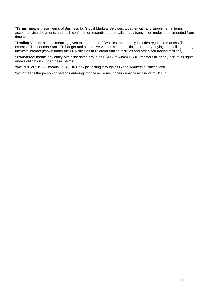"**Terms**" means these Terms of Business for Global Markets Services, together with any supplemental terms, accompanying documents and each confirmation recording the details of any transaction under it, as amended from time to time;

"**Trading Venue**" has the meaning given to it under the FCA rules, but broadly includes regulated markets (for example, The London Stock Exchange) and alternative venues where multiple third-party buying and selling trading interests interact (known under the FCA rules as multilateral trading facilities and organised trading facilities);

"**Transferee**" means any entity within the same group as HSBC, to whom HSBC transfers all or any part of its rights and/or obligations under these Terms;

"**we**", "us" or "HSBC" means HSBC UK Bank plc, acting through its Global Markets business; and

"**you**" means the person or persons entering into these Terms in their capacity as clients of HSBC.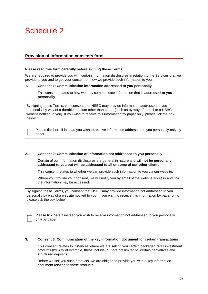# Schedule 2

# **Provision of information consents form**

#### **Please read this form carefully before signing these Terms**

We are required to provide you with certain information disclosures in relation to the Services that we provide to you and to get your consent on how we provide such information to you.

#### <span id="page-24-0"></span>**1. Consent 1: Communication information addressed to you personally**

This consent relates to how we may communicate information that is addressed **to you personally**.

By signing these Terms, you consent that HSBC may provide information addressed to you personally by way of a durable medium other than paper (such as by way of e-mail or a HSBC website notified to you). If you wish to receive this information by paper only, please tick the box below.

paper. P le a s e tick here if instead you wish to receive information addressed to you personally only by

#### <span id="page-24-1"></span>**2. Consent 2: Communication of information not addressed to you personally**

Certain of our information disclosures are general in nature and will **not be personally addressed to you but will be addressed to all or some of our other clients**.

This consent relates to whether we can provide such information to you via our website.

Where you provide your consent, we will notify you by email of the website address and how the information may be accessed.

By signing these Terms, you consent that HSBC may provide information not addressed to you personally by way of a website notified to you. If you want to receive this information by paper only, please tick the box below.

only by paper. Please tick here if instead you wish to receive information not addressed to you personally

#### <span id="page-24-2"></span>**3. Consent 3: Communication of the key information document for certain transactions**

This consent relates to instances where we are selling you certain packaged retail investment products (by way of example, these include, but are not limited to, certain derivatives and structured deposits).

Before we sell you such products, we are obliged to provide you with a key information document relating to these products.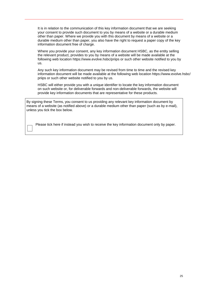It is in relation to the communication of this key information document that we are seeking your consent to provide such document to you by means of a website or a durable medium other than paper. Where we provide you with this document by means of a website or a durable medium other than paper, you also have the right to request a paper copy of the key information document free of charge.

Where you provide your consent, any key information document HSBC, as the entity selling the relevant product, provides to you by means of a website will be made available at the following web location https://www.evolve.hsbc/priips or such other website notified to you by us.

Any such key information document may be revised from time to time and the revised key information document will be made available at the following web location https://www.evolve.hsbc/ priips or such other website notified to you by us.

HSBC will either provide you with a unique identifier to locate the key information document on such website or, for deliverable forwards and non-deliverable forwards, the website will provide key information documents that are representative for these products.

By signing these Terms, you consent to us providing any relevant key information document by means of a website (as notified above) or a durable medium other than paper (such as by e-mail), unless you tick the box below.

Please tick here if instead you wish to receive the key information document only by paper.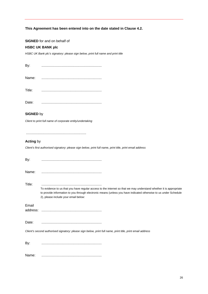#### **This Agreement has been entered into on the date stated in Clause 4.2.**

#### **SIGNED** for and on behalf of

#### **HSBC UK BANK plc**

*HSBC UK Bank plc's signatory: please sign below, print full name and print title*

| By:    |  |
|--------|--|
|        |  |
| Title: |  |
| Date:  |  |

# **SIGNED** by

*Client to print full name of corporate entity/undertaking*

..............................................................

#### **Acting** by

*Client's first authorised signatory: please sign below, print full name, print title, print email address*

| By:               |                                                                                                                                                                                                                                                                                |
|-------------------|--------------------------------------------------------------------------------------------------------------------------------------------------------------------------------------------------------------------------------------------------------------------------------|
| Name:             |                                                                                                                                                                                                                                                                                |
| Title:            | To evidence to us that you have regular access to the internet so that we may understand whether it is appropriate<br>to provide information to you through electronic means (unless you have indicated otherwise to us under Schedule<br>2), please include your email below: |
| Email<br>address: |                                                                                                                                                                                                                                                                                |
| Date:             |                                                                                                                                                                                                                                                                                |
|                   | Client's second authorised signatory: please sign below, print full name, print title, print email address                                                                                                                                                                     |
| By:               |                                                                                                                                                                                                                                                                                |
| Name:             |                                                                                                                                                                                                                                                                                |